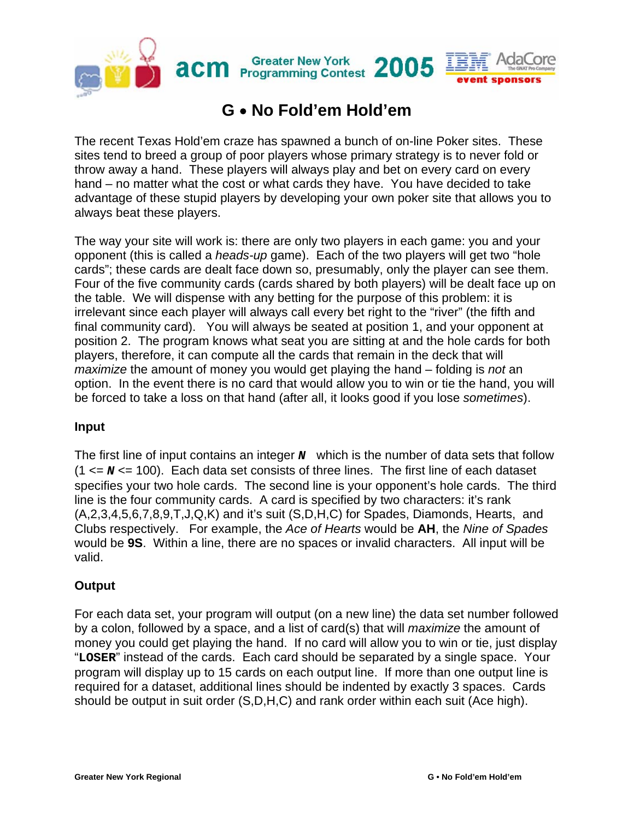

## **G** • **No Fold'em Hold'em**

The recent Texas Hold'em craze has spawned a bunch of on-line Poker sites. These sites tend to breed a group of poor players whose primary strategy is to never fold or throw away a hand. These players will always play and bet on every card on every hand – no matter what the cost or what cards they have. You have decided to take advantage of these stupid players by developing your own poker site that allows you to always beat these players.

The way your site will work is: there are only two players in each game: you and your opponent (this is called a *heads-up* game). Each of the two players will get two "hole cards"; these cards are dealt face down so, presumably, only the player can see them. Four of the five community cards (cards shared by both players) will be dealt face up on the table. We will dispense with any betting for the purpose of this problem: it is irrelevant since each player will always call every bet right to the "river" (the fifth and final community card). You will always be seated at position 1, and your opponent at position 2. The program knows what seat you are sitting at and the hole cards for both players, therefore, it can compute all the cards that remain in the deck that will *maximize* the amount of money you would get playing the hand – folding is *not* an option. In the event there is no card that would allow you to win or tie the hand, you will be forced to take a loss on that hand (after all, it looks good if you lose *sometimes*).

## **Input**

The first line of input contains an integer **N** which is the number of data sets that follow (1 <= *N* <= 100). Each data set consists of three lines. The first line of each dataset specifies your two hole cards. The second line is your opponent's hole cards. The third line is the four community cards. A card is specified by two characters: it's rank (A,2,3,4,5,6,7,8,9,T,J,Q,K) and it's suit (S,D,H,C) for Spades, Diamonds, Hearts, and Clubs respectively. For example, the *Ace of Hearts* would be **AH**, the *Nine of Spades* would be **9S**. Within a line, there are no spaces or invalid characters. All input will be valid.

## **Output**

For each data set, your program will output (on a new line) the data set number followed by a colon, followed by a space, and a list of card(s) that will *maximize* the amount of money you could get playing the hand. If no card will allow you to win or tie, just display "**LOSER**" instead of the cards. Each card should be separated by a single space. Your program will display up to 15 cards on each output line. If more than one output line is required for a dataset, additional lines should be indented by exactly 3 spaces. Cards should be output in suit order (S,D,H,C) and rank order within each suit (Ace high).